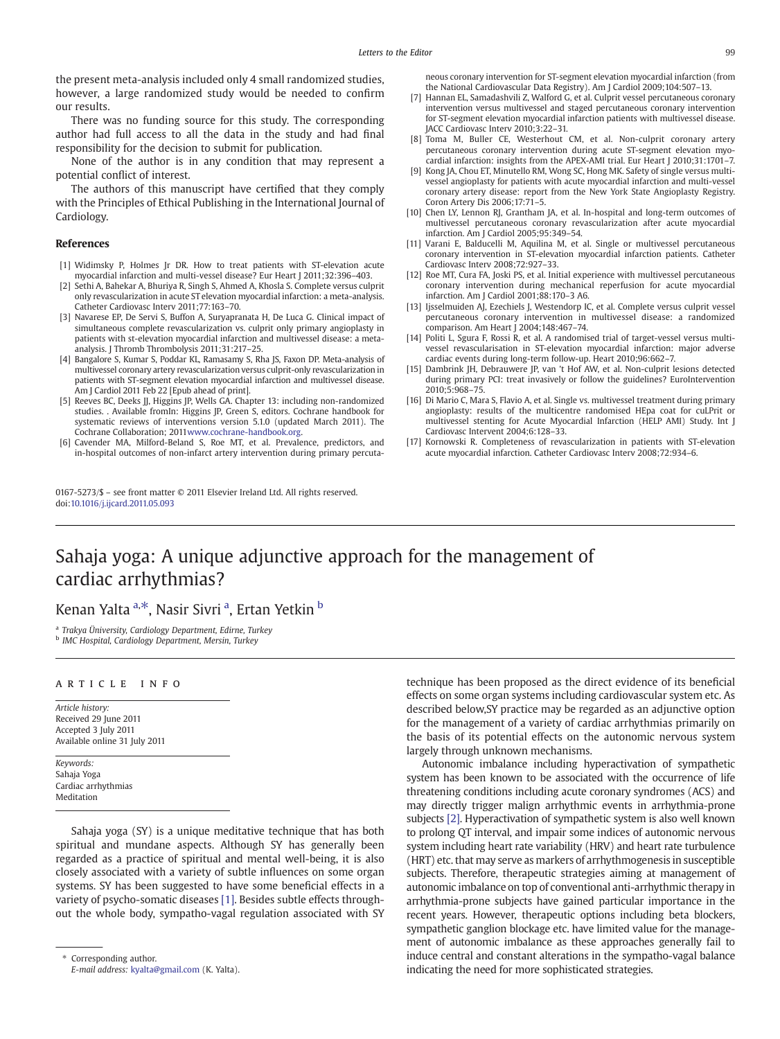the present meta-analysis included only 4 small randomized studies, however, a large randomized study would be needed to confirm our results.

There was no funding source for this study. The corresponding author had full access to all the data in the study and had final responsibility for the decision to submit for publication.

None of the author is in any condition that may represent a potential conflict of interest.

The authors of this manuscript have certified that they comply with the Principles of Ethical Publishing in the International Journal of Cardiology.

## References

- [1] Widimsky P, Holmes Jr DR. How to treat patients with ST-elevation acute myocardial infarction and multi-vessel disease? Eur Heart J 2011;32:396–403.
- [2] Sethi A, Bahekar A, Bhuriya R, Singh S, Ahmed A, Khosla S. Complete versus culprit only revascularization in acute ST elevation myocardial infarction: a meta-analysis. Catheter Cardiovasc Interv 2011;77:163–70.
- [3] Navarese EP, De Servi S, Buffon A, Suryapranata H, De Luca G. Clinical impact of simultaneous complete revascularization vs. culprit only primary angioplasty in patients with st-elevation myocardial infarction and multivessel disease: a metaanalysis. J Thromb Thrombolysis 2011;31:217–25.
- [4] Bangalore S, Kumar S, Poddar KL, Ramasamy S, Rha JS, Faxon DP. Meta-analysis of multivessel coronary artery revascularization versus culprit-only revascularization in patients with ST-segment elevation myocardial infarction and multivessel disease. Am J Cardiol 2011 Feb 22 [Epub ahead of print].
- [5] Reeves BC, Deeks JJ, Higgins JP, Wells GA. Chapter 13: including non-randomized studies. . Available fromIn: Higgins JP, Green S, editors. Cochrane handbook for systematic reviews of interventions version 5.1.0 (updated March 2011). The Cochrane Collaboration; 201[1www.cochrane-handbook.org.](http://multimedia.olympic.org/pdf/en_report_886.pdf)
- [6] Cavender MA, Milford-Beland S, Roe MT, et al. Prevalence, predictors, and in-hospital outcomes of non-infarct artery intervention during primary percuta-

0167-5273/\$ – see front matter © 2011 Elsevier Ireland Ltd. All rights reserved. doi:[10.1016/j.ijcard.2011.05.093](http://dx.doi.org/10.1016/j.ijcard.2011.05.093)

neous coronary intervention for ST-segment elevation myocardial infarction (from the National Cardiovascular Data Registry). Am J Cardiol 2009;104:507–13.

- [7] Hannan EL, Samadashvili Z, Walford G, et al. Culprit vessel percutaneous coronary intervention versus multivessel and staged percutaneous coronary intervention for ST-segment elevation myocardial infarction patients with multivessel disease. JACC Cardiovasc Interv 2010;3:22–31.
- [8] Toma M, Buller CE, Westerhout CM, et al. Non-culprit coronary artery percutaneous coronary intervention during acute ST-segment elevation myocardial infarction: insights from the APEX-AMI trial. Eur Heart J 2010;31:1701–7.
- [9] Kong JA, Chou ET, Minutello RM, Wong SC, Hong MK. Safety of single versus multivessel angioplasty for patients with acute myocardial infarction and multi-vessel coronary artery disease: report from the New York State Angioplasty Registry. Coron Artery Dis 2006;17:71–5.
- [10] Chen LY, Lennon RJ, Grantham JA, et al. In-hospital and long-term outcomes of multivessel percutaneous coronary revascularization after acute myocardial infarction. Am J Cardiol 2005;95:349–54.
- [11] Varani E, Balducelli M, Aquilina M, et al. Single or multivessel percutaneous coronary intervention in ST-elevation myocardial infarction patients. Catheter Cardiovasc Interv 2008;72:927–33.
- [12] Roe MT, Cura FA, Joski PS, et al. Initial experience with multivessel percutaneous coronary intervention during mechanical reperfusion for acute myocardial infarction. Am J Cardiol 2001;88:170–3 A6.
- [13] Ijsselmuiden AJ, Ezechiels J, Westendorp IC, et al. Complete versus culprit vessel percutaneous coronary intervention in multivessel disease: a randomized comparison. Am Heart J 2004;148:467–74.
- [14] Politi L, Sgura F, Rossi R, et al. A randomised trial of target-vessel versus multivessel revascularisation in ST-elevation myocardial infarction: major adverse cardiac events during long-term follow-up. Heart 2010;96:662–7.
- [15] Dambrink JH, Debrauwere JP, van 't Hof AW, et al. Non-culprit lesions detected during primary PCI: treat invasively or follow the guidelines? EuroIntervention 2010;5:968–75.
- [16] Di Mario C, Mara S, Flavio A, et al. Single vs. multivessel treatment during primary angioplasty: results of the multicentre randomised HEpa coat for cuLPrit or multivessel stenting for Acute Myocardial Infarction (HELP AMI) Study. Int J Cardiovasc Intervent 2004;6:128–33.
- [17] Kornowski R. Completeness of revascularization in patients with ST-elevation acute myocardial infarction. Catheter Cardiovasc Interv 2008;72:934–6.

## Sahaja yoga: A unique adjunctive approach for the management of cardiac arrhythmias?

Kenan Yalta <sup>a,\*</sup>, Nasir Sivri <sup>a</sup>, Ertan Yetkin <sup>b</sup>

<sup>a</sup> Trakya Üniversity, Cardiology Department, Edirne, Turkey b IMC Hospital, Cardiology Department, Mersin, Turkey

## article info

Article history: Received 29 June 2011 Accepted 3 July 2011 Available online 31 July 2011

Keywords: Sahaja Yoga Cardiac arrhythmias Meditation

Sahaja yoga (SY) is a unique meditative technique that has both spiritual and mundane aspects. Although SY has generally been regarded as a practice of spiritual and mental well-being, it is also closely associated with a variety of subtle influences on some organ systems. SY has been suggested to have some beneficial effects in a variety of psycho-somatic diseases [\[1\]](#page-1-0). Besides subtle effects throughout the whole body, sympatho-vagal regulation associated with SY technique has been proposed as the direct evidence of its beneficial effects on some organ systems including cardiovascular system etc. As described below,SY practice may be regarded as an adjunctive option for the management of a variety of cardiac arrhythmias primarily on the basis of its potential effects on the autonomic nervous system largely through unknown mechanisms.

Autonomic imbalance including hyperactivation of sympathetic system has been known to be associated with the occurrence of life threatening conditions including acute coronary syndromes (ACS) and may directly trigger malign arrhythmic events in arrhythmia-prone subjects [\[2\]](#page-1-0). Hyperactivation of sympathetic system is also well known to prolong QT interval, and impair some indices of autonomic nervous system including heart rate variability (HRV) and heart rate turbulence (HRT) etc. that may serve as markers of arrhythmogenesis in susceptible subjects. Therefore, therapeutic strategies aiming at management of autonomic imbalance on top of conventional anti-arrhythmic therapy in arrhythmia-prone subjects have gained particular importance in the recent years. However, therapeutic options including beta blockers, sympathetic ganglion blockage etc. have limited value for the management of autonomic imbalance as these approaches generally fail to induce central and constant alterations in the sympatho-vagal balance indicating the need for more sophisticated strategies.

<sup>⁎</sup> Corresponding author.

E-mail address: [kyalta@gmail.com](mailto:kyalta@gmail.com) (K. Yalta).